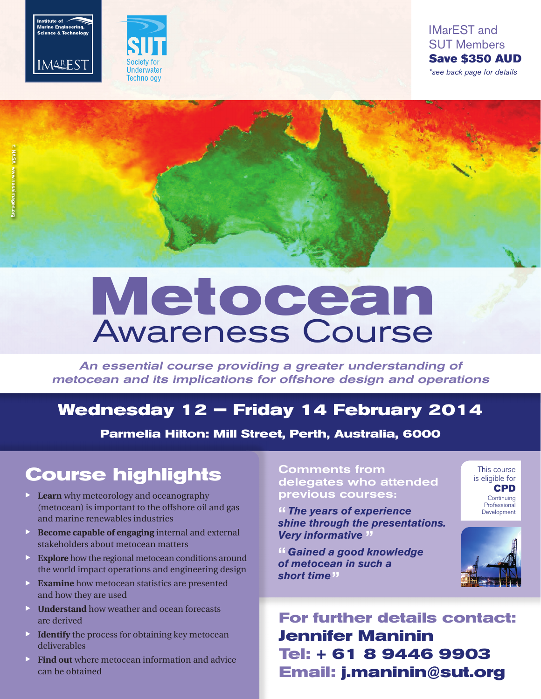



IMarEST and SUT Members Save \$350 AUD *\*see back page for details*



# **Metocean** Awareness Course

An essential course providing a greater understanding of metocean and its implications for offshore design and operations

# **Wednesday 12 – Friday 14 February 2014**

**Parmelia Hilton: Mill Street, Perth, Australia, 6000**

# **Course highlights**

- **Learn** why meteorology and oceanography (metocean) is important to the offshore oil and gas and marine renewables industries
- **Become capable of engaging** internal and external stakeholders about metocean matters
- **Explore** how the regional metocean conditions around the world impact operations and engineering design
- **Examine** how metocean statistics are presented and how they are used
- **Understand** how weather and ocean forecasts are derived
- **Identify** the process for obtaining key metocean deliverables
- **Find out** where metocean information and advice can be obtained

Comments from delegates who attended previous courses:

**"** *The years of experience shine through the presentations. Very informative* **"**

**"** *Gained a good knowledge of metocean in such a short time***"**

This course is eligible for CPD **Continuing** Professional Development



**For further details contact: Jennifer Maninin Tel: + 61 8 9446 9903 Email: j.maninin@sut.org**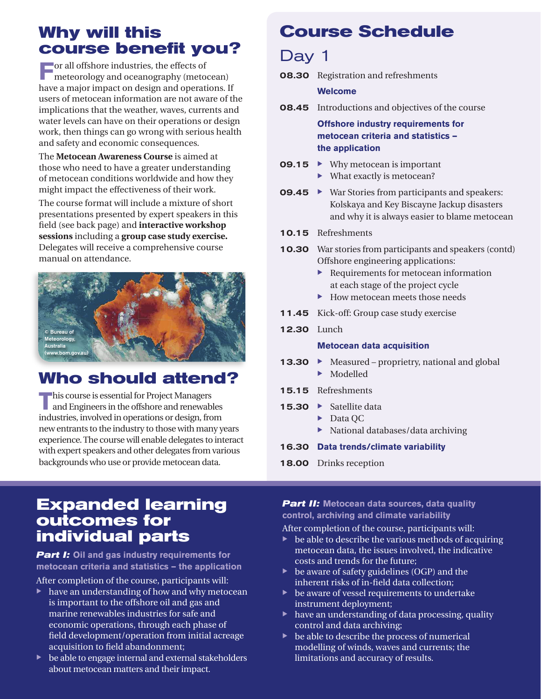### **Why will this course benefit you?**

**F**or all offshore industries, the effects of meteorology and oceanography (metocean) have a major impact on design and operations. If users of metocean information are not aware of the implications that the weather, waves, currents and water levels can have on their operations or design work, then things can go wrong with serious health and safety and economic consequences.

The **Metocean Awareness Course** is aimed at those who need to have a greater understanding of metocean conditions worldwide and how they might impact the effectiveness of their work.

The course format will include a mixture of short presentations presented by expert speakers in this field (see back page) and **interactive workshop sessions** including a **group case study exercise.** Delegates will receive a comprehensive course manual on attendance.



# **Who should attend?**

**the This course is essential for Project Managers** and Engineers in the offshore and renewables industries, involved in operations or design, from new entrants to the industry to those with many years experience. The course will enable delegates to interact with expert speakers and other delegates from various backgrounds who use or provide metocean data.

# **Course Schedule**

### Day 1

08.30 Registration and refreshments

#### **Welcome**

**08.45** Introductions and objectives of the course

**Offshore industry requirements for metocean criteria and statistics the application**

- **09.15** Why metocean is important
	- $\blacktriangleright$  What exactly is metocean?
- **09.45**  $\triangleright$  War Stories from participants and speakers: Kolskaya and Key Biscayne Jackup disasters and why it is always easier to blame metocean
- 10.15 Refreshments
- **10.30** War stories from participants and speakers (contd) Offshore engineering applications:
	- $\blacktriangleright$  Requirements for metocean information at each stage of the project cycle
	- $\blacktriangleright$  How metocean meets those needs
- 11.45 Kick-off: Group case study exercise
- 12.30 Lunch

#### **Metocean data acquisition**

- **13.30** ► Measured proprietry, national and global  $\blacktriangleright$  Modelled
- 15.15 Refreshments
- 15.30  $\triangleright$  Satellite data
	- $\blacktriangleright$  Data QC
	- $\blacktriangleright$  National databases/data archiving

16.30 **Data trends/climate variability**

18.00 Drinks reception

### **Expanded learning outcomes for individual parts**

*Part I:* **Oil and gas industry requirements for metocean criteria and statistics — the application**

After completion of the course, participants will:

- $\blacktriangleright$  have an understanding of how and why metocean is important to the offshore oil and gas and marine renewables industries for safe and economic operations, through each phase of field development/operation from initial acreage acquisition to field abandonment;
- $\blacktriangleright$  be able to engage internal and external stakeholders about metocean matters and their impact.

*Part II:* **Metocean data sources, data quality control, archiving and climate variability**

After completion of the course, participants will:

- be able to describe the various methods of acquiring metocean data, the issues involved, the indicative costs and trends for the future;
- $\triangleright$  be aware of safety guidelines (OGP) and the inherent risks of in-field data collection;
- $\blacktriangleright$  be aware of vessel requirements to undertake instrument deployment;
- $\blacktriangleright$  have an understanding of data processing, quality control and data archiving;
- $\blacktriangleright$  be able to describe the process of numerical modelling of winds, waves and currents; the limitations and accuracy of results.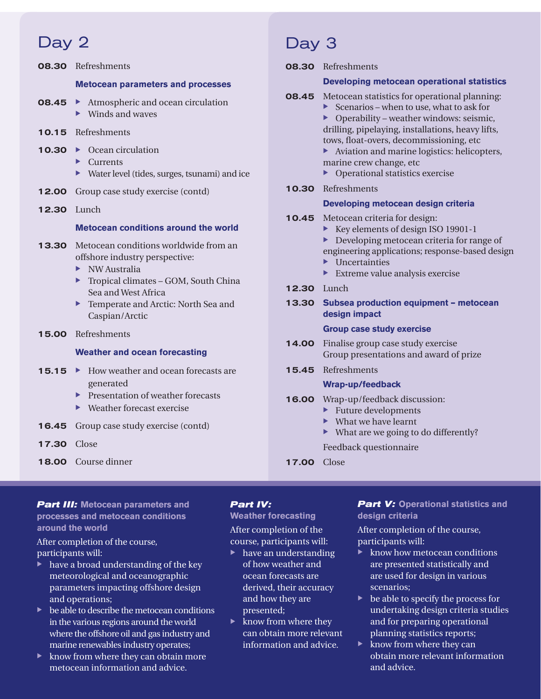### Day 2

08.30 Refreshments

#### **Metocean parameters and processes**

- **08.45**  $\triangleright$  Atmospheric and ocean circulation  $\blacktriangleright$  Winds and waves
- 10.15 Refreshments
- $10.30 \rightarrow$  Ocean circulation
	- $\blacktriangleright$  Currents
	- $\blacktriangleright$  Water level (tides, surges, tsunami) and ice
- 12.00 Group case study exercise (contd)
- 12.30 Lunch

#### **Metocean conditions around the world**

- **13.30** Metocean conditions worldwide from an offshore industry perspective:
	- $\triangleright$  NW Australia
	- $\blacktriangleright$  Tropical climates GOM, South China Sea and West Africa
	- **EXECUTE: The Temperate and Arctic: North Sea and** Caspian/Arctic
- 15.00 Refreshments

#### **Weather and ocean forecasting**

- **15.15**  $\blacktriangleright$  How weather and ocean forecasts are generated
	- $\blacktriangleright$  Presentation of weather forecasts
	- $\blacktriangleright$  Weather forecast exercise
- **16.45** Group case study exercise (contd)

*Part III:* **Metocean parameters and processes and metocean conditions** 

 $\blacktriangleright$  have a broad understanding of the key meteorological and oceanographic parameters impacting offshore design

 $\blacktriangleright$  be able to describe the metocean conditions in the various regions around the world where the offshore oil and gas industry and marine renewables industry operates;  $\triangleright$  know from where they can obtain more metocean information and advice.

After completion of the course,

**17.30** Close

**around the world**

participants will:

and operations;

18.00 Course dinner

#### *Part IV:*

#### **Weather forecasting**

After completion of the course, participants will:

- $\blacktriangleright$  have an understanding of how weather and ocean forecasts are derived, their accuracy and how they are presented;
- $\blacktriangleright$  know from where they can obtain more relevant information and advice.
- Day 3
- 08.30 Refreshments

#### **Developing metocean operational statistics**

- **08.45** Metocean statistics for operational planning: Scenarios – when to use, what to ask for  $\triangleright$  Operability – weather windows: seismic, drilling, pipelaying, installations, heavy lifts, tows, float-overs, decommissioning, etc  $\triangleright$  Aviation and marine logistics: helicopters, marine crew change, etc  $\triangleright$  Operational statistics exercise 10.30 Refreshments **Developing metocean design criteria** 10.45 Metocean criteria for design: Exercise New elements of design ISO 19901-1  $\blacktriangleright$  Developing metocean criteria for range of engineering applications; response-based design  $\blacktriangleright$  Uncertainties Extreme value analysis exercise 12.30 Lunch 13.30 **Subsea production equipment – metocean design impact Group case study exercise** 14.00 Finalise group case study exercise Group presentations and award of prize 15.45 Refreshments **Wrap-up/feedback** 16.00 Wrap-up/feedback discussion:  $\blacktriangleright$  Future developments  $\blacktriangleright$  What we have learnt  $\blacktriangleright$  What are we going to do differently? Feedback questionnaire
- 17.00 Close

#### *Part V:* **Operational statistics and design criteria**

After completion of the course, participants will:

- $\blacktriangleright$  know how metocean conditions are presented statistically and are used for design in various scenarios;
- $\triangleright$  be able to specify the process for undertaking design criteria studies and for preparing operational planning statistics reports;
- $\blacktriangleright$  know from where they can obtain more relevant information and advice.